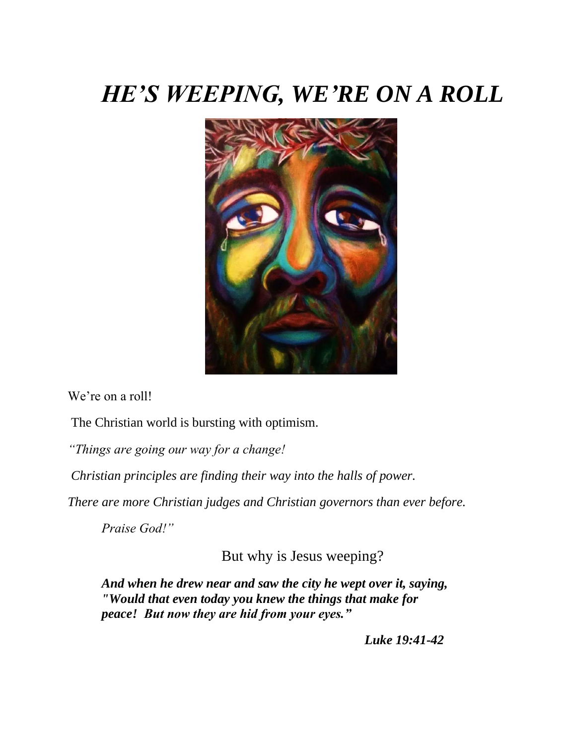## *HE'S WEEPING, WE'RE ON A ROLL*



We're on a roll!

The Christian world is bursting with optimism.

*"Things are going our way for a change!*

*Christian principles are finding their way into the halls of power.*

*There are more Christian judges and Christian governors than ever before.*

*Praise God!"*

But why is Jesus weeping?

*And when he drew near and saw the city he wept over it, saying, "Would that even today you knew the things that make for peace! But now they are hid from your eyes."*

*Luke 19:41-42*